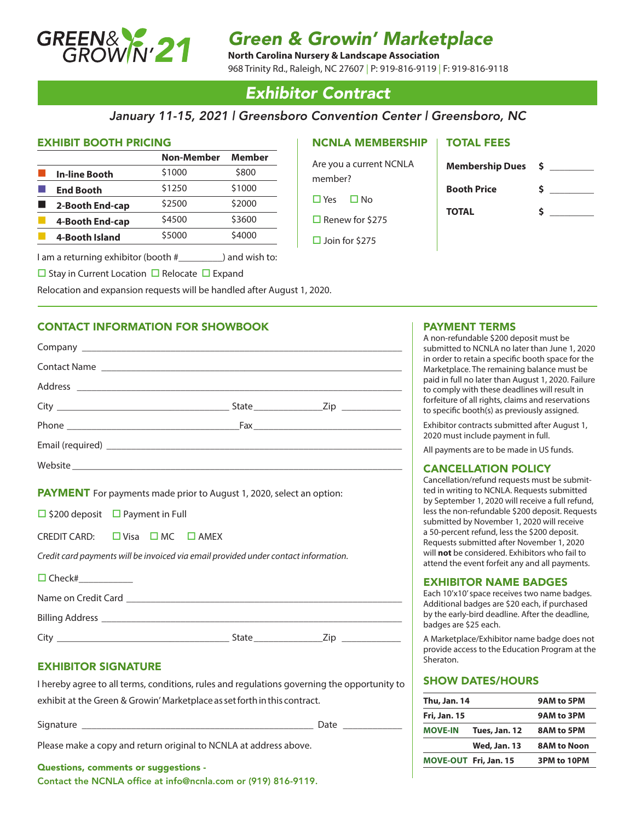

## *Green & Growin' Marketplace*

**North Carolina Nursery & Landscape Association**

968 Trinity Rd., Raleigh, NC 27607 | P: 919-816-9119 | F: 919-816-9118

## *Exhibitor Contract*

## *January 11-15, 2021 | Greensboro Convention Center | Greensboro, NC*

### EXHIBIT BOOTH PRICING

|                      | Non-Member | Member |
|----------------------|------------|--------|
| <b>In-line Booth</b> | \$1000     | \$800  |
| <b>End Booth</b>     | \$1250     | \$1000 |
| 2-Booth End-cap      | \$2500     | \$2000 |
| 4-Booth End-cap      | \$4500     | \$3600 |
| 4-Booth Island       | \$5000     | \$4000 |

I am a returning exhibitor (booth #\_\_\_\_\_\_\_\_\_) and wish to:

 $\Box$  Stay in Current Location  $\Box$  Relocate  $\Box$  Expand

Relocation and expansion requests will be handled after August 1, 2020.

## CONTACT INFORMATION FOR SHOWBOOK

| Contact Name |  |
|--------------|--|
|              |  |
|              |  |
|              |  |
|              |  |
|              |  |
|              |  |

**PAYMENT** For payments made prior to August 1, 2020, select an option:

 $\Box$  \$200 deposit  $\Box$  Payment in Full

CREDIT CARD:  $\Box$  Visa  $\Box$  MC  $\Box$  AMEX

*Credit card payments will be invoiced via email provided under contact information.*

| $\Box$ Check#       |       |     |  |
|---------------------|-------|-----|--|
| Name on Credit Card |       |     |  |
| Billing Address _   |       |     |  |
|                     | State | /in |  |

## EXHIBITOR SIGNATURE

I hereby agree to all terms, conditions, rules and regulations governing the opportunity to exhibit at the Green & Growin' Marketplace as set forth in this contract.

Signature \_\_\_\_\_\_\_\_\_\_\_\_\_\_\_\_\_\_\_\_\_\_\_\_\_\_\_\_\_\_\_\_\_\_\_\_\_\_\_\_\_\_\_\_\_\_\_ Date \_\_\_\_\_\_\_\_\_\_\_\_

Please make a copy and return original to NCNLA at address above.

### Questions, comments or suggestions -

Contact the NCNLA office at info@ncnla.com or (919) 816-9119.

## NCNLA MEMBERSHIP

Are you a current NCNLA member?  $\Box$  Yes  $\Box$  No

 $\Box$  Renew for \$275

 $\Box$  Join for \$275

# TOTAL FEES

| <b>Membership Dues</b> | S |
|------------------------|---|
| <b>Booth Price</b>     | s |
|                        |   |
| <b>TOTAL</b>           |   |

## PAYMENT TERMS

A non-refundable \$200 deposit must be submitted to NCNLA no later than June 1, 2020 in order to retain a specific booth space for the Marketplace. The remaining balance must be paid in full no later than August 1, 2020. Failure to comply with these deadlines will result in forfeiture of all rights, claims and reservations to specific booth(s) as previously assigned.

Exhibitor contracts submitted after August 1, 2020 must include payment in full.

All payments are to be made in US funds.

## CANCELLATION POLICY

Cancellation/refund requests must be submitted in writing to NCNLA. Requests submitted by September 1, 2020 will receive a full refund, less the non-refundable \$200 deposit. Requests submitted by November 1, 2020 will receive a 50-percent refund, less the \$200 deposit. Requests submitted after November 1, 2020 will **not** be considered. Exhibitors who fail to attend the event forfeit any and all payments.

### EXHIBITOR NAME BADGES

Each 10'x10' space receives two name badges. Additional badges are \$20 each, if purchased by the early-bird deadline. After the deadline, badges are \$25 each.

A Marketplace/Exhibitor name badge does not provide access to the Education Program at the Sheraton.

### SHOW DATES/HOURS

| 9AM to 5PM<br>9AM to 3PM<br>8AM to 5PM |  |                    |
|----------------------------------------|--|--------------------|
|                                        |  | <b>8AM to Noon</b> |
|                                        |  | 3PM to 10PM        |
|                                        |  |                    |